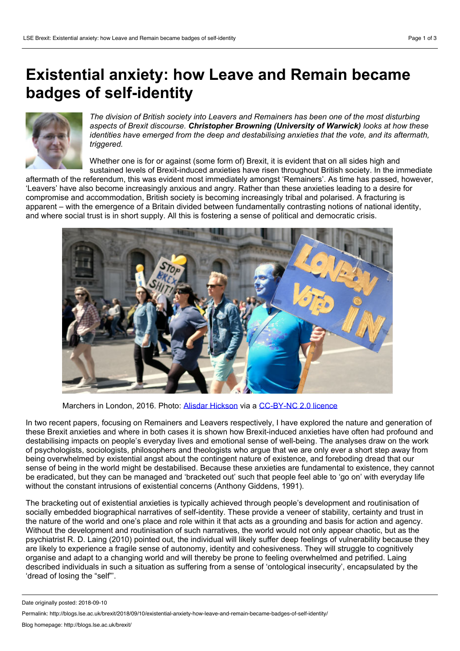## **Existential anxiety: how Leave and Remain became badges of self-identity**



*The division of British society into Leavers and Remainers has been one of the most disturbing aspects of Brexit discourse. Christopher Browning (University of Warwick) looks at how these identities have emerged from the deep and destabilising anxieties that the vote, and its aftermath, triggered.*

Whether one is for or against (some form of) Brexit, it is evident that on all sides high and

sustained levels of Brexit-induced anxieties have risen throughout British society. In the immediate aftermath of the referendum, this was evident most immediately amongst 'Remainers'. As time has passed, however, 'Leavers' have also become increasingly anxious and angry. Rather than these anxieties leading to a desire for compromise and accommodation, British society is becoming increasingly tribal and polarised. A fracturing is apparent – with the emergence of a Britain divided between fundamentally contrasting notions of national identity, and where social trust is in short supply. All this is fostering a sense of political and democratic crisis.



Marchers in London, 2016. Photo: Alisdar [Hickson](https://www.flickr.com/photos/alisdare/28042855775/in/photolist-JJ3Y2n-23gVnwT-HYMh3a-LGrfVB-226TFGX-HNMsqf-JCb2Fz-Jg4Xsx-HCv4S2-GpMhdC-YmKDq3-23XCDJB-HzxQCN-JG5ceW-HWbN22-GMimKr-HWbNwF-J4cNTJ-HQGy9i-DFMpGS-Q22cgS-JzpNhA-HuKV4z-CpxBBS-HCv6zR-HPKu3o-HYpzat-JmaWJu-Kkm5qM-YKgnQJ-K1PfrN-Hug1rz-J3K29u-P8QEKe-N8G6T4-Jqqzmq-JotbVh-JVTX1q-HWbNRi-J64CD9-H1rK3P-J64Bbj-HPP28D-J64E67-HPP1St-GBFxTK-HPP2b4-Un8np9-JkFJTU-YjLBSD) via a [CC-BY-NC](https://creativecommons.org/licenses/by-nc/2.0/) 2.0 licence

In two recent papers, focusing on Remainers and Leavers respectively, I have explored the nature and generation of these Brexit anxieties and where in both cases it is shown how Brexit-induced anxieties have often had profound and destabilising impacts on people's everyday lives and emotional sense of well-being. The analyses draw on the work of psychologists, sociologists, philosophers and theologists who argue thatwe are only ever a short step away from being overwhelmed by existential angst about the contingent nature of existence, and foreboding dread thatour sense of being in the world might be destabilised. Because these anxieties are fundamental to existence, they cannot be eradicated, but they can be managed and 'bracketed out' such that people feel able to 'go on' with everyday life without the constant intrusions of existential concerns (Anthony Giddens, 1991).

The bracketing out of existential anxieties is typically achieved through people's development and routinisation of socially embedded biographical narratives of self-identity. These provide a veneer of stability, certainty and trust in the nature of the world and one's place and role within it that acts as a grounding and basis for action and agency. Without the development and routinisation of such narratives, the world would not only appear chaotic, but as the psychiatrist R. D. Laing (2010) pointed out, the individual will likely suffer deep feelings of vulnerability because they are likely to experience a fragile sense of autonomy, identity and cohesiveness. They will struggle to cognitively organise and adapt to a changing world and will thereby be prone to feeling overwhelmed and petrified. Laing described individuals in such a situation as suffering from a sense of 'ontological insecurity', encapsulated by the 'dread of losing the "self"'.

Date originally posted: 2018-09-10

Permalink: http://blogs.lse.ac.uk/brexit/2018/09/10/existential-anxiety-how-leave-and-remain-became-badges-of-self-identity/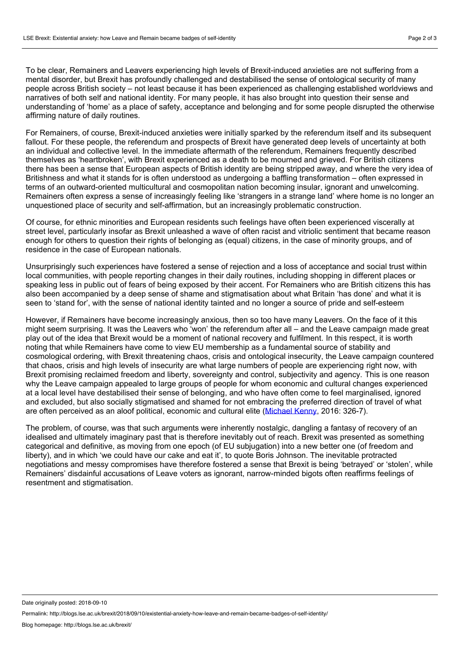To be clear, Remainers and Leavers experiencing high levels of Brexit-induced anxieties are not suffering from a mental disorder, but Brexit has profoundly challenged and destabilised the sense of ontological security of many people across British society – not least because it has been experienced as challenging established worldviews and narratives of both self and national identity. For many people, it has also brought into question their sense and understanding of 'home' as a place of safety, acceptance and belonging and for some people disrupted the otherwise affirming nature of daily routines.

For Remainers, of course, Brexit-induced anxieties were initially sparked by the referendum itself and its subsequent fallout. For these people, the referendum and prospects of Brexit have generated deep levels of uncertainty at both an individual and collective level. In the immediate aftermath of the referendum, Remainers frequently described themselves as 'heartbroken', with Brexit experienced as a death to be mourned and grieved. For British citizens there has been a sense that European aspects of British identity are being stripped away, and where the very idea of Britishness and what it stands for is often understood as undergoing a baffling transformation – often expressed in terms of an outward-oriented multicultural and cosmopolitan nation becoming insular, ignorant and unwelcoming. Remainers often express a sense of increasingly feeling like 'strangers in a strange land'where home is no longer an unquestioned place of security and self-affirmation, but an increasingly problematic construction.

Of course, for ethnic minorities and European residents such feelings have often been experienced viscerally at street level, particularly insofar as Brexit unleashed a wave of often racist and vitriolic sentiment that became reason enough for others to question their rights of belonging as (equal) citizens, in the case of minority groups, and of residence in the case of European nationals.

Unsurprisingly such experiences have fostered a sense of rejection and a loss of acceptance and social trust within local communities, with people reporting changes in their daily routines, including shopping in different places or speaking less in public out of fears of being exposed by their accent. For Remainers who are British citizens this has also been accompanied by a deep sense of shame and stigmatisation about what Britain 'has done' and what it is seen to 'stand for', with the sense of national identity tainted and no longer a source of pride and self-esteem

However, if Remainers have become increasingly anxious, then so too have many Leavers. On the face of it this might seem surprising. It was the Leavers who 'won' the referendum after all – and the Leave campaign made great play out of the idea that Brexit would be a moment of national recovery and fulfilment. In this respect, it is worth noting thatwhile Remainers have come to view EU membership as a fundamental source of stability and cosmological ordering, with Brexit threatening chaos, crisis and ontological insecurity, the Leave campaign countered that chaos, crisis and high levels of insecurity are what large numbers of people are experiencing right now, with Brexit promising reclaimed freedom and liberty, sovereignty and control, subjectivity and agency. This is one reason why the Leave campaign appealed to large groups of people for whom economic and cultural changes experienced at a local level have destabilised their sense of belonging, and who have often come to feel marginalised, ignored and excluded, but also socially stigmatised and shamed for not embracing the preferred direction of travel of what are often perceived as an aloof political, economic and cultural elite ([Michael](http://journals.sagepub.com/doi/abs/10.1177/1478929916649616) Kenny, 2016: 326-7).

The problem, of course, was that such arguments were inherently nostalgic, dangling a fantasy of recovery of an idealised and ultimately imaginary past that is therefore inevitably outof reach. Brexit was presented as something categorical and definitive, as moving from one epoch (of EU subjugation) into a new better one (of freedom and liberty), and in which 'we could have our cake and eat it', to quote Boris Johnson. The inevitable protracted negotiations and messy compromises have therefore fostered a sense that Brexit is being 'betrayed' or 'stolen', while Remainers' disdainful accusations of Leave voters as ignorant, narrow-minded bigots often reaffirms feelings of resentment and stigmatisation.

Date originally posted: 2018-09-10

Permalink: http://blogs.lse.ac.uk/brexit/2018/09/10/existential-anxiety-how-leave-and-remain-became-badges-of-self-identity/